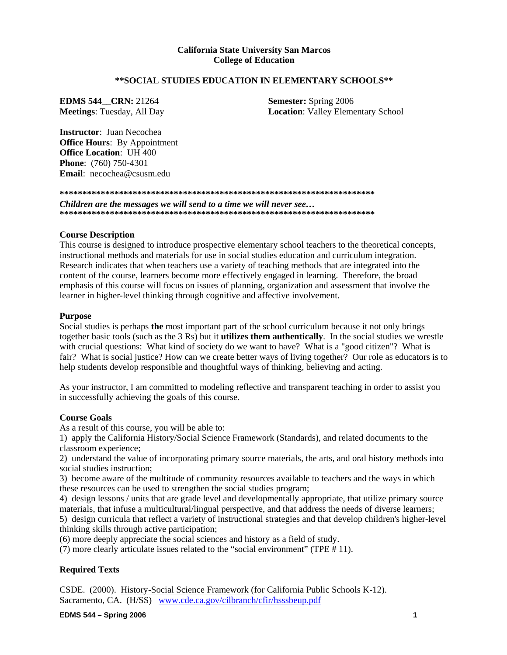### **California State University San Marcos College of Education**

#### **\*\*SOCIAL STUDIES EDUCATION IN ELEMENTARY SCHOOLS\*\***

**EDMS 544** CRN: 21264 **Semester: Spring 2006** 

**Meetings**: Tuesday, All Day **Location**: Valley Elementary School

**Instructor**: Juan Necochea **Office Hours**: By Appointment **Office Location**: UH 400 **Phone**: (760) 750-4301 **Email**: necochea@csusm.edu

**\*\*\*\*\*\*\*\*\*\*\*\*\*\*\*\*\*\*\*\*\*\*\*\*\*\*\*\*\*\*\*\*\*\*\*\*\*\*\*\*\*\*\*\*\*\*\*\*\*\*\*\*\*\*\*\*\*\*\*\*\*\*\*\*\*\*\*\*\*** 

*Children are the messages we will send to a time we will never see…*  **\*\*\*\*\*\*\*\*\*\*\*\*\*\*\*\*\*\*\*\*\*\*\*\*\*\*\*\*\*\*\*\*\*\*\*\*\*\*\*\*\*\*\*\*\*\*\*\*\*\*\*\*\*\*\*\*\*\*\*\*\*\*\*\*\*\*\*\*\*** 

#### **Course Description**

This course is designed to introduce prospective elementary school teachers to the theoretical concepts, instructional methods and materials for use in social studies education and curriculum integration. Research indicates that when teachers use a variety of teaching methods that are integrated into the content of the course, learners become more effectively engaged in learning. Therefore, the broad emphasis of this course will focus on issues of planning, organization and assessment that involve the learner in higher-level thinking through cognitive and affective involvement.

#### **Purpose**

Social studies is perhaps **the** most important part of the school curriculum because it not only brings together basic tools (such as the 3 Rs) but it **utilizes them authentically**. In the social studies we wrestle with crucial questions: What kind of society do we want to have? What is a "good citizen"? What is fair? What is social justice? How can we create better ways of living together? Our role as educators is to help students develop responsible and thoughtful ways of thinking, believing and acting.

As your instructor, I am committed to modeling reflective and transparent teaching in order to assist you in successfully achieving the goals of this course.

#### **Course Goals**

As a result of this course, you will be able to:

1) apply the California History/Social Science Framework (Standards), and related documents to the classroom experience;

2) understand the value of incorporating primary source materials, the arts, and oral history methods into social studies instruction;

3) become aware of the multitude of community resources available to teachers and the ways in which these resources can be used to strengthen the social studies program;

4) design lessons / units that are grade level and developmentally appropriate, that utilize primary source materials, that infuse a multicultural/lingual perspective, and that address the needs of diverse learners;

5) design curricula that reflect a variety of instructional strategies and that develop children's higher-level thinking skills through active participation;

(6) more deeply appreciate the social sciences and history as a field of study.

(7) more clearly articulate issues related to the "social environment" (TPE # 11).

#### **Required Texts**

CSDE. (2000). History-Social Science Framework (for California Public Schools K-12). Sacramento, CA. (H/SS) www.cde.ca.gov/cilbranch/cfir/hsssbeup.pdf

**EDMS** 544 – Spring 2006 **1 <b>1**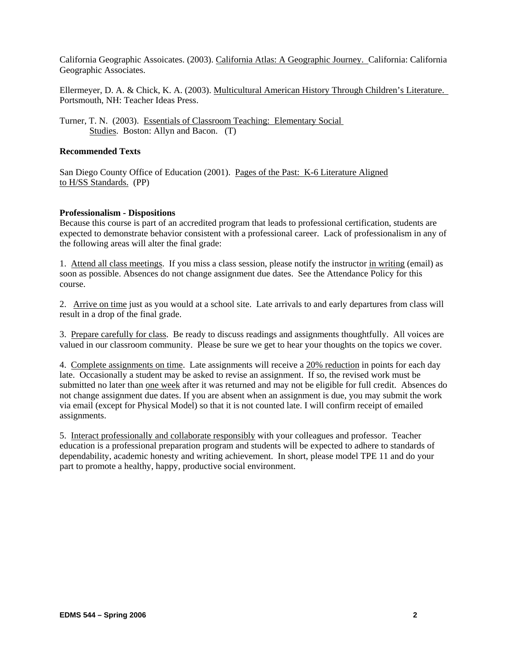California Geographic Assoicates. (2003). California Atlas: A Geographic Journey. California: California Geographic Associates.

Ellermeyer, D. A. & Chick, K. A. (2003). Multicultural American History Through Children's Literature. Portsmouth, NH: Teacher Ideas Press.

Turner, T. N. (2003). Essentials of Classroom Teaching: Elementary Social Studies. Boston: Allyn and Bacon. (T)

#### **Recommended Texts**

San Diego County Office of Education (2001). Pages of the Past: K-6 Literature Aligned to H/SS Standards. (PP)

#### **Professionalism - Dispositions**

Because this course is part of an accredited program that leads to professional certification, students are expected to demonstrate behavior consistent with a professional career. Lack of professionalism in any of the following areas will alter the final grade:

1. Attend all class meetings. If you miss a class session, please notify the instructor in writing (email) as soon as possible. Absences do not change assignment due dates. See the Attendance Policy for this course.

2. Arrive on time just as you would at a school site. Late arrivals to and early departures from class will result in a drop of the final grade.

3. Prepare carefully for class. Be ready to discuss readings and assignments thoughtfully. All voices are valued in our classroom community. Please be sure we get to hear your thoughts on the topics we cover.

4. Complete assignments on time. Late assignments will receive a 20% reduction in points for each day late. Occasionally a student may be asked to revise an assignment. If so, the revised work must be submitted no later than one week after it was returned and may not be eligible for full credit. Absences do not change assignment due dates. If you are absent when an assignment is due, you may submit the work via email (except for Physical Model) so that it is not counted late. I will confirm receipt of emailed assignments.

5. Interact professionally and collaborate responsibly with your colleagues and professor. Teacher education is a professional preparation program and students will be expected to adhere to standards of dependability, academic honesty and writing achievement. In short, please model TPE 11 and do your part to promote a healthy, happy, productive social environment.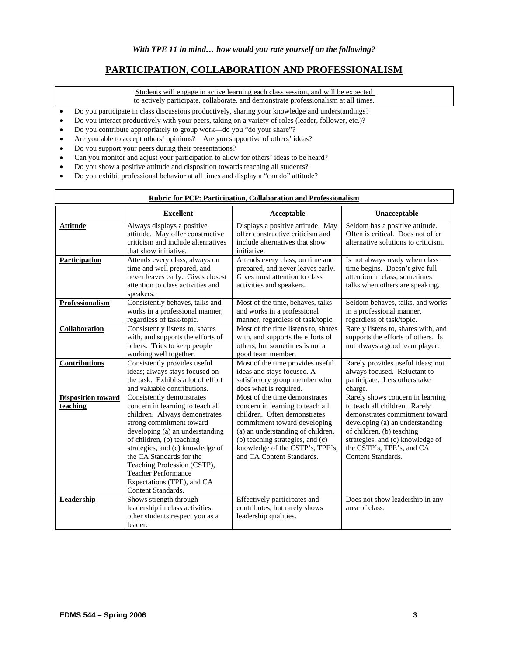# **PARTICIPATION, COLLABORATION AND PROFESSIONALISM**

Students will engage in active learning each class session, and will be expected

- to actively participate, collaborate, and demonstrate professionalism at all times.
- Do you participate in class discussions productively, sharing your knowledge and understandings?
- Do you interact productively with your peers, taking on a variety of roles (leader, follower, etc.)?
- Do you contribute appropriately to group work—do you "do your share"?
- Are you able to accept others' opinions? Are you supportive of others' ideas?
- Do you support your peers during their presentations?
- Can you monitor and adjust your participation to allow for others' ideas to be heard?
- Do you show a positive attitude and disposition towards teaching all students?
- Do you exhibit professional behavior at all times and display a "can do" attitude?

| <b>Rubric for PCP: Participation, Collaboration and Professionalism</b> |                                                                                                                                                                                                                                                                                                                                                                             |                                                                                                                                                                                                                                                                            |                                                                                                                                                                                                                                                            |
|-------------------------------------------------------------------------|-----------------------------------------------------------------------------------------------------------------------------------------------------------------------------------------------------------------------------------------------------------------------------------------------------------------------------------------------------------------------------|----------------------------------------------------------------------------------------------------------------------------------------------------------------------------------------------------------------------------------------------------------------------------|------------------------------------------------------------------------------------------------------------------------------------------------------------------------------------------------------------------------------------------------------------|
|                                                                         | <b>Excellent</b>                                                                                                                                                                                                                                                                                                                                                            | Acceptable                                                                                                                                                                                                                                                                 | Unacceptable                                                                                                                                                                                                                                               |
| <b>Attitude</b><br>Participation                                        | Always displays a positive<br>attitude. May offer constructive<br>criticism and include alternatives<br>that show initiative.<br>Attends every class, always on                                                                                                                                                                                                             | Displays a positive attitude. May<br>offer constructive criticism and<br>include alternatives that show<br>initiative.<br>Attends every class, on time and                                                                                                                 | Seldom has a positive attitude.<br>Often is critical. Does not offer<br>alternative solutions to criticism.<br>Is not always ready when class                                                                                                              |
|                                                                         | time and well prepared, and<br>never leaves early. Gives closest<br>attention to class activities and<br>speakers.                                                                                                                                                                                                                                                          | prepared, and never leaves early.<br>Gives most attention to class<br>activities and speakers.                                                                                                                                                                             | time begins. Doesn't give full<br>attention in class; sometimes<br>talks when others are speaking.                                                                                                                                                         |
| <b>Professionalism</b>                                                  | Consistently behaves, talks and<br>works in a professional manner,<br>regardless of task/topic.                                                                                                                                                                                                                                                                             | Most of the time, behaves, talks<br>and works in a professional<br>manner, regardless of task/topic.                                                                                                                                                                       | Seldom behaves, talks, and works<br>in a professional manner,<br>regardless of task/topic.                                                                                                                                                                 |
| Collaboration                                                           | Consistently listens to, shares<br>with, and supports the efforts of<br>others. Tries to keep people<br>working well together.                                                                                                                                                                                                                                              | Most of the time listens to, shares<br>with, and supports the efforts of<br>others, but sometimes is not a<br>good team member.                                                                                                                                            | Rarely listens to, shares with, and<br>supports the efforts of others. Is<br>not always a good team player.                                                                                                                                                |
| <b>Contributions</b>                                                    | Consistently provides useful<br>ideas; always stays focused on<br>the task. Exhibits a lot of effort<br>and valuable contributions.                                                                                                                                                                                                                                         | Most of the time provides useful<br>ideas and stays focused. A<br>satisfactory group member who<br>does what is required.                                                                                                                                                  | Rarely provides useful ideas; not<br>always focused. Reluctant to<br>participate. Lets others take<br>charge.                                                                                                                                              |
| <b>Disposition toward</b><br>teaching                                   | Consistently demonstrates<br>concern in learning to teach all<br>children. Always demonstrates<br>strong commitment toward<br>developing (a) an understanding<br>of children, (b) teaching<br>strategies, and (c) knowledge of<br>the CA Standards for the<br>Teaching Profession (CSTP),<br><b>Teacher Performance</b><br>Expectations (TPE), and CA<br>Content Standards. | Most of the time demonstrates<br>concern in learning to teach all<br>children. Often demonstrates<br>commitment toward developing<br>(a) an understanding of children,<br>(b) teaching strategies, and (c)<br>knowledge of the CSTP's, TPE's,<br>and CA Content Standards. | Rarely shows concern in learning<br>to teach all children. Rarely<br>demonstrates commitment toward<br>developing (a) an understanding<br>of children, (b) teaching<br>strategies, and (c) knowledge of<br>the CSTP's, TPE's, and CA<br>Content Standards. |
| <b>Leadership</b>                                                       | Shows strength through<br>leadership in class activities;<br>other students respect you as a<br>leader.                                                                                                                                                                                                                                                                     | Effectively participates and<br>contributes, but rarely shows<br>leadership qualities.                                                                                                                                                                                     | Does not show leadership in any<br>area of class.                                                                                                                                                                                                          |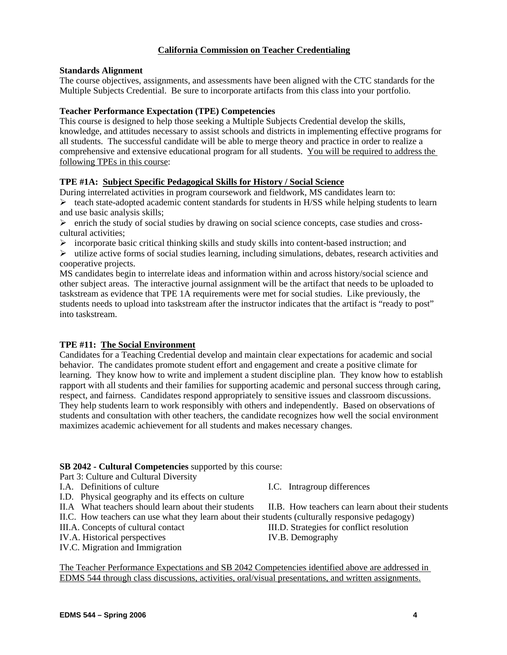# **California Commission on Teacher Credentialing**

### **Standards Alignment**

The course objectives, assignments, and assessments have been aligned with the CTC standards for the Multiple Subjects Credential. Be sure to incorporate artifacts from this class into your portfolio.

#### **Teacher Performance Expectation (TPE) Competencies**

This course is designed to help those seeking a Multiple Subjects Credential develop the skills, knowledge, and attitudes necessary to assist schools and districts in implementing effective programs for all students. The successful candidate will be able to merge theory and practice in order to realize a comprehensive and extensive educational program for all students. You will be required to address the following TPEs in this course:

### **TPE #1A: Subject Specific Pedagogical Skills for History / Social Science**

During interrelated activities in program coursework and fieldwork, MS candidates learn to:  $\triangleright$  teach state-adopted academic content standards for students in H/SS while helping students to learn and use basic analysis skills;

 $\triangleright$  enrich the study of social studies by drawing on social science concepts, case studies and crosscultural activities;

 $\triangleright$  incorporate basic critical thinking skills and study skills into content-based instruction; and

 $\triangleright$  utilize active forms of social studies learning, including simulations, debates, research activities and cooperative projects.

MS candidates begin to interrelate ideas and information within and across history/social science and other subject areas. The interactive journal assignment will be the artifact that needs to be uploaded to taskstream as evidence that TPE 1A requirements were met for social studies. Like previously, the students needs to upload into taskstream after the instructor indicates that the artifact is "ready to post" into taskstream.

### **TPE #11: The Social Environment**

Candidates for a Teaching Credential develop and maintain clear expectations for academic and social behavior. The candidates promote student effort and engagement and create a positive climate for learning. They know how to write and implement a student discipline plan. They know how to establish rapport with all students and their families for supporting academic and personal success through caring, respect, and fairness. Candidates respond appropriately to sensitive issues and classroom discussions. They help students learn to work responsibly with others and independently. Based on observations of students and consultation with other teachers, the candidate recognizes how well the social environment maximizes academic achievement for all students and makes necessary changes.

#### **SB 2042 - Cultural Competencies** supported by this course:

# Part 3: Culture and Cultural Diversity

- I.A. Definitions of culture I.C. Intragroup differences
- I.D. Physical geography and its effects on culture
- 
- II.C. How teachers can use what they learn about their students (culturally responsive pedagogy)
- 
- IV.A. Historical perspectives IV.B. Demography
- IV.C. Migration and Immigration

II.A What teachers should learn about their students II.B. How teachers can learn about their students

III.A. Concepts of cultural contact III.D. Strategies for conflict resolution

The Teacher Performance Expectations and SB 2042 Competencies identified above are addressed in EDMS 544 through class discussions, activities, oral/visual presentations, and written assignments.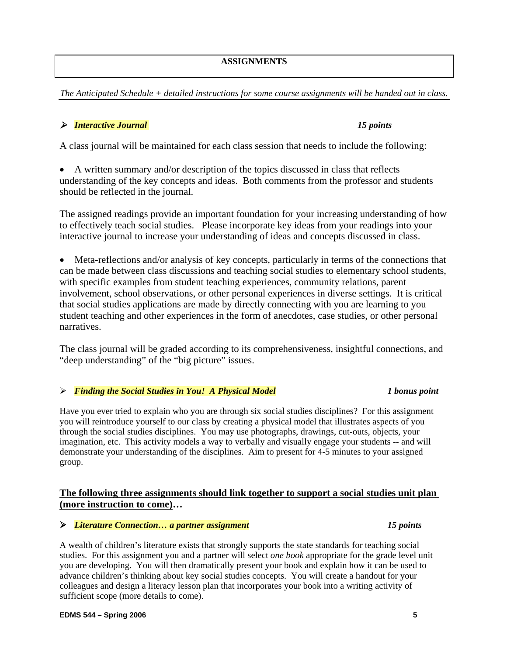# **ASSIGNMENTS**

*The Anticipated Schedule + detailed instructions for some course assignments will be handed out in class.* 

# ¾ *Interactive Journal 15 points*

A class journal will be maintained for each class session that needs to include the following:

• A written summary and/or description of the topics discussed in class that reflects understanding of the key concepts and ideas. Both comments from the professor and students should be reflected in the journal.

The assigned readings provide an important foundation for your increasing understanding of how to effectively teach social studies. Please incorporate key ideas from your readings into your interactive journal to increase your understanding of ideas and concepts discussed in class.

• Meta-reflections and/or analysis of key concepts, particularly in terms of the connections that can be made between class discussions and teaching social studies to elementary school students, with specific examples from student teaching experiences, community relations, parent involvement, school observations, or other personal experiences in diverse settings. It is critical that social studies applications are made by directly connecting with you are learning to you student teaching and other experiences in the form of anecdotes, case studies, or other personal narratives.

The class journal will be graded according to its comprehensiveness, insightful connections, and "deep understanding" of the "big picture" issues.

### ¾ *Finding the Social Studies in You! A Physical Model 1 bonus point*

Have you ever tried to explain who you are through six social studies disciplines? For this assignment you will reintroduce yourself to our class by creating a physical model that illustrates aspects of you through the social studies disciplines. You may use photographs, drawings, cut-outs, objects, your imagination, etc. This activity models a way to verbally and visually engage your students -- and will demonstrate your understanding of the disciplines. Aim to present for 4-5 minutes to your assigned group.

# **The following three assignments should link together to support a social studies unit plan (more instruction to come)…**

### ¾ *Literature Connection… a partner assignment 15 points*

A wealth of children's literature exists that strongly supports the state standards for teaching social studies. For this assignment you and a partner will select *one book* appropriate for the grade level unit you are developing. You will then dramatically present your book and explain how it can be used to advance children's thinking about key social studies concepts. You will create a handout for your colleagues and design a literacy lesson plan that incorporates your book into a writing activity of sufficient scope (more details to come).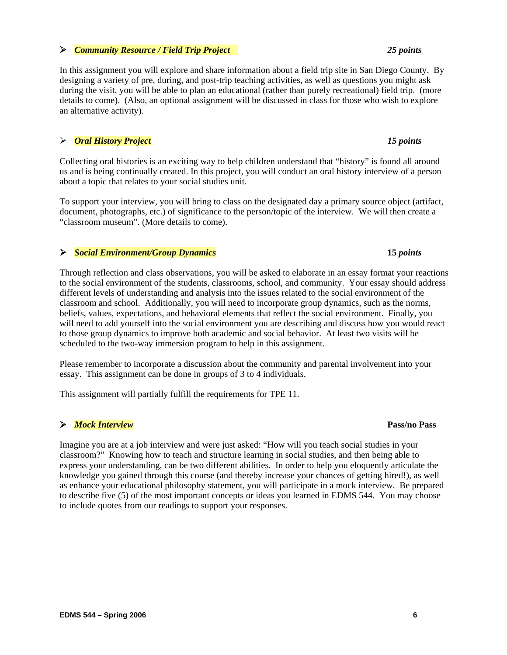### ¾ *Community Resource / Field Trip Project 25 points*

In this assignment you will explore and share information about a field trip site in San Diego County. By designing a variety of pre, during, and post-trip teaching activities, as well as questions you might ask during the visit, you will be able to plan an educational (rather than purely recreational) field trip. (more details to come). (Also, an optional assignment will be discussed in class for those who wish to explore an alternative activity).

# ¾ *Oral History Project 15 points*

Collecting oral histories is an exciting way to help children understand that "history" is found all around us and is being continually created. In this project, you will conduct an oral history interview of a person about a topic that relates to your social studies unit.

To support your interview, you will bring to class on the designated day a primary source object (artifact, document, photographs, etc.) of significance to the person/topic of the interview. We will then create a "classroom museum". (More details to come).

# ¾ *Social Environment/Group Dynamics* **15** *points*

Through reflection and class observations, you will be asked to elaborate in an essay format your reactions to the social environment of the students, classrooms, school, and community. Your essay should address different levels of understanding and analysis into the issues related to the social environment of the classroom and school. Additionally, you will need to incorporate group dynamics, such as the norms, beliefs, values, expectations, and behavioral elements that reflect the social environment. Finally, you will need to add yourself into the social environment you are describing and discuss how you would react to those group dynamics to improve both academic and social behavior. At least two visits will be scheduled to the two-way immersion program to help in this assignment.

Please remember to incorporate a discussion about the community and parental involvement into your essay. This assignment can be done in groups of 3 to 4 individuals.

This assignment will partially fulfill the requirements for TPE 11.

# ¾ *Mock Interview* **Pass/no Pass**

Imagine you are at a job interview and were just asked: "How will you teach social studies in your classroom?" Knowing how to teach and structure learning in social studies, and then being able to express your understanding, can be two different abilities. In order to help you eloquently articulate the knowledge you gained through this course (and thereby increase your chances of getting hired!), as well as enhance your educational philosophy statement, you will participate in a mock interview. Be prepared to describe five (5) of the most important concepts or ideas you learned in EDMS 544. You may choose to include quotes from our readings to support your responses.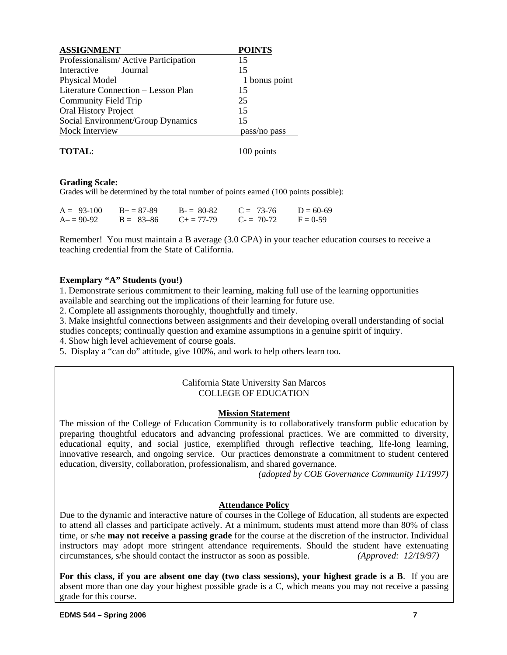| <b>ASSIGNMENT</b>                    | <b>POINTS</b> |
|--------------------------------------|---------------|
| Professionalism/Active Participation | 15            |
| Interactive<br>Journal               | 15            |
| Physical Model                       | 1 bonus point |
| Literature Connection – Lesson Plan  | 15            |
| Community Field Trip                 | 25            |
| <b>Oral History Project</b>          | 15            |
| Social Environment/Group Dynamics    | 15            |
| Mock Interview                       | pass/no pass  |
|                                      |               |

**TOTAL:** 100 points

### **Grading Scale:**

Grades will be determined by the total number of points earned (100 points possible):

| $A = 93-100$ | $B+=87-89$    | $B = 80-82$         | $C = 73-76$ | $D = 60-69$ |
|--------------|---------------|---------------------|-------------|-------------|
| $A = 90-92$  | $B = 83 - 86$ | $C_{\pm} = 77 - 79$ | $C = 70-72$ | $F = 0.59$  |

Remember! You must maintain a B average (3.0 GPA) in your teacher education courses to receive a teaching credential from the State of California.

### **Exemplary "A" Students (you!)**

1. Demonstrate serious commitment to their learning, making full use of the learning opportunities available and searching out the implications of their learning for future use.

2. Complete all assignments thoroughly, thoughtfully and timely.

3. Make insightful connections between assignments and their developing overall understanding of social studies concepts; continually question and examine assumptions in a genuine spirit of inquiry.

4. Show high level achievement of course goals.

5. Display a "can do" attitude, give 100%, and work to help others learn too.

### California State University San Marcos COLLEGE OF EDUCATION

### **Mission Statement**

The mission of the College of Education Community is to collaboratively transform public education by preparing thoughtful educators and advancing professional practices. We are committed to diversity, educational equity, and social justice, exemplified through reflective teaching, life-long learning, innovative research, and ongoing service. Our practices demonstrate a commitment to student centered education, diversity, collaboration, professionalism, and shared governance.

*(adopted by COE Governance Community 11/1997)*

### **Attendance Policy**

Due to the dynamic and interactive nature of courses in the College of Education, all students are expected to attend all classes and participate actively. At a minimum, students must attend more than 80% of class time, or s/he **may not receive a passing grade** for the course at the discretion of the instructor. Individual instructors may adopt more stringent attendance requirements. Should the student have extenuating circumstances, s/he should contact the instructor as soon as possible. *(Approved: 12/19/97)*

**For this class, if you are absent one day (two class sessions), your highest grade is a B**. If you are absent more than one day your highest possible grade is a C, which means you may not receive a passing grade for this course.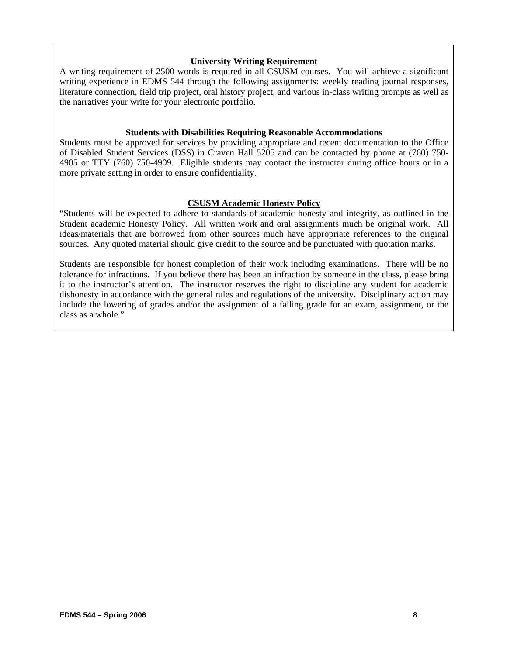### **University Writing Requirement**

A writing requirement of 2500 words is required in all CSUSM courses. You will achieve a significant writing experience in EDMS 544 through the following assignments: weekly reading journal responses, literature connection, field trip project, oral history project, and various in-class writing prompts as well as the narratives your write for your electronic portfolio.

#### **Students with Disabilities Requiring Reasonable Accommodations**

Students must be approved for services by providing appropriate and recent documentation to the Office of Disabled Student Services (DSS) in Craven Hall 5205 and can be contacted by phone at (760) 750- 4905 or TTY (760) 750-4909. Eligible students may contact the instructor during office hours or in a more private setting in order to ensure confidentiality.

### **CSUSM Academic Honesty Policy**

"Students will be expected to adhere to standards of academic honesty and integrity, as outlined in the Student academic Honesty Policy. All written work and oral assignments much be original work. All ideas/materials that are borrowed from other sources much have appropriate references to the original sources. Any quoted material should give credit to the source and be punctuated with quotation marks.

Students are responsible for honest completion of their work including examinations. There will be no tolerance for infractions. If you believe there has been an infraction by someone in the class, please bring it to the instructor's attention. The instructor reserves the right to discipline any student for academic dishonesty in accordance with the general rules and regulations of the university. Disciplinary action may include the lowering of grades and/or the assignment of a failing grade for an exam, assignment, or the class as a whole."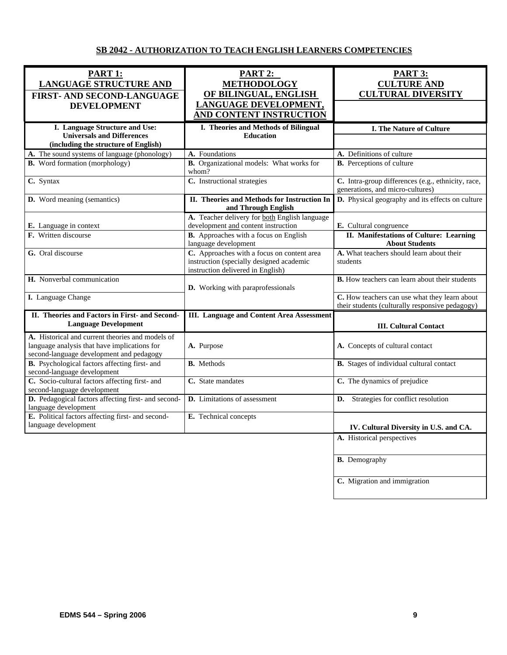# **SB 2042 - AUTHORIZATION TO TEACH ENGLISH LEARNERS COMPETENCIES**

| <b>PART 1:</b><br><b>LANGUAGE STRUCTURE AND</b><br>FIRST- AND SECOND-LANGUAGE                                                                | PART 2:<br><b>METHODOLOGY</b><br>OF BILINGUAL, ENGLISH                                                                      | <b>PART 3:</b><br><b>CULTURE AND</b><br><b>CULTURAL DIVERSITY</b>                                |
|----------------------------------------------------------------------------------------------------------------------------------------------|-----------------------------------------------------------------------------------------------------------------------------|--------------------------------------------------------------------------------------------------|
| <b>DEVELOPMENT</b>                                                                                                                           | LANGUAGE DEVELOPMENT,<br>AND CONTENT INSTRUCTION                                                                            |                                                                                                  |
| I. Language Structure and Use:<br><b>Universals and Differences</b><br>(including the structure of English)                                  | I. Theories and Methods of Bilingual<br><b>Education</b>                                                                    | <b>I. The Nature of Culture</b>                                                                  |
| A. The sound systems of language (phonology)                                                                                                 | A. Foundations                                                                                                              | A. Definitions of culture                                                                        |
| <b>B.</b> Word formation (morphology)                                                                                                        | B. Organizational models: What works for<br>whom?                                                                           | <b>B.</b> Perceptions of culture                                                                 |
| C. Syntax                                                                                                                                    | C. Instructional strategies                                                                                                 | C. Intra-group differences (e.g., ethnicity, race,<br>generations, and micro-cultures)           |
| D. Word meaning (semantics)                                                                                                                  | II. Theories and Methods for Instruction In<br>and Through English                                                          | D. Physical geography and its effects on culture                                                 |
| E. Language in context                                                                                                                       | A. Teacher delivery for both English language<br>development and content instruction                                        | E. Cultural congruence                                                                           |
| F. Written discourse                                                                                                                         | B. Approaches with a focus on English<br>language development                                                               | II. Manifestations of Culture: Learning<br><b>About Students</b>                                 |
| G. Oral discourse                                                                                                                            | C. Approaches with a focus on content area<br>instruction (specially designed academic<br>instruction delivered in English) | A. What teachers should learn about their<br>students                                            |
| H. Nonverbal communication                                                                                                                   | D. Working with paraprofessionals                                                                                           | <b>B.</b> How teachers can learn about their students                                            |
| I. Language Change                                                                                                                           |                                                                                                                             | C. How teachers can use what they learn about<br>their students (culturally responsive pedagogy) |
| II. Theories and Factors in First- and Second-<br><b>Language Development</b>                                                                | <b>III.</b> Language and Content Area Assessment                                                                            | <b>III. Cultural Contact</b>                                                                     |
| A. Historical and current theories and models of<br>language analysis that have implications for<br>second-language development and pedagogy | A. Purpose                                                                                                                  | A. Concepts of cultural contact                                                                  |
| B. Psychological factors affecting first- and<br>second-language development                                                                 | <b>B.</b> Methods                                                                                                           | B. Stages of individual cultural contact                                                         |
| C. Socio-cultural factors affecting first- and<br>second-language development                                                                | C. State mandates                                                                                                           | C. The dynamics of prejudice                                                                     |
| D. Pedagogical factors affecting first- and second-<br>language development                                                                  | D. Limitations of assessment                                                                                                | Strategies for conflict resolution<br>D.                                                         |
| E. Political factors affecting first- and second-<br>language development                                                                    | E. Technical concepts                                                                                                       | IV. Cultural Diversity in U.S. and CA.                                                           |
|                                                                                                                                              |                                                                                                                             | A. Historical perspectives                                                                       |
|                                                                                                                                              |                                                                                                                             | <b>B.</b> Demography                                                                             |
|                                                                                                                                              |                                                                                                                             | C. Migration and immigration                                                                     |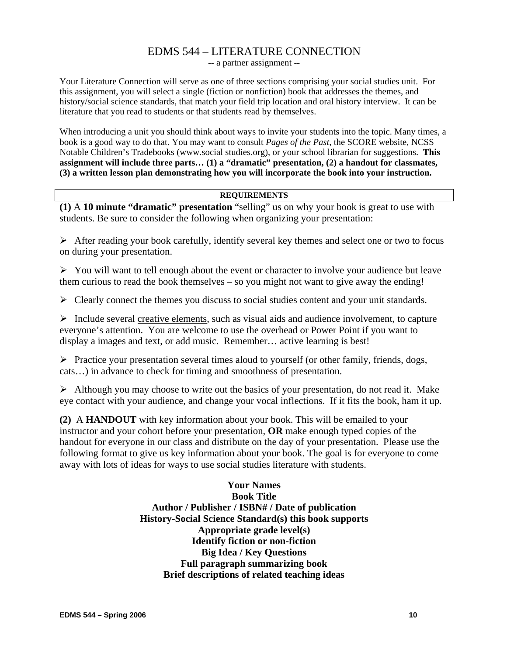# EDMS 544 – LITERATURE CONNECTION

-- a partner assignment --

Your Literature Connection will serve as one of three sections comprising your social studies unit. For this assignment, you will select a single (fiction or nonfiction) book that addresses the themes, and history/social science standards, that match your field trip location and oral history interview. It can be literature that you read to students or that students read by themselves.

When introducing a unit you should think about ways to invite your students into the topic. Many times, a book is a good way to do that. You may want to consult *Pages of the Past*, the SCORE website, NCSS Notable Children's Tradebooks (www.social studies.org), or your school librarian for suggestions. **This assignment will include three parts… (1) a "dramatic" presentation, (2) a handout for classmates, (3) a written lesson plan demonstrating how you will incorporate the book into your instruction.** 

#### **REQUIREMENTS**

**(1)** A **10 minute "dramatic" presentation** "selling" us on why your book is great to use with students. Be sure to consider the following when organizing your presentation:

 $\triangleright$  After reading your book carefully, identify several key themes and select one or two to focus on during your presentation.

 $\triangleright$  You will want to tell enough about the event or character to involve your audience but leave them curious to read the book themselves – so you might not want to give away the ending!

 $\triangleright$  Clearly connect the themes you discuss to social studies content and your unit standards.

 $\triangleright$  Include several creative elements, such as visual aids and audience involvement, to capture everyone's attention. You are welcome to use the overhead or Power Point if you want to display a images and text, or add music. Remember… active learning is best!

 $\triangleright$  Practice your presentation several times aloud to yourself (or other family, friends, dogs, cats…) in advance to check for timing and smoothness of presentation.

 $\triangleright$  Although you may choose to write out the basics of your presentation, do not read it. Make eye contact with your audience, and change your vocal inflections. If it fits the book, ham it up.

**(2)** A **HANDOUT** with key information about your book. This will be emailed to your instructor and your cohort before your presentation, **OR** make enough typed copies of the handout for everyone in our class and distribute on the day of your presentation. Please use the following format to give us key information about your book. The goal is for everyone to come away with lots of ideas for ways to use social studies literature with students.

> **Your Names Book Title Author / Publisher / ISBN# / Date of publication History-Social Science Standard(s) this book supports Appropriate grade level(s) Identify fiction or non-fiction Big Idea / Key Questions Full paragraph summarizing book Brief descriptions of related teaching ideas**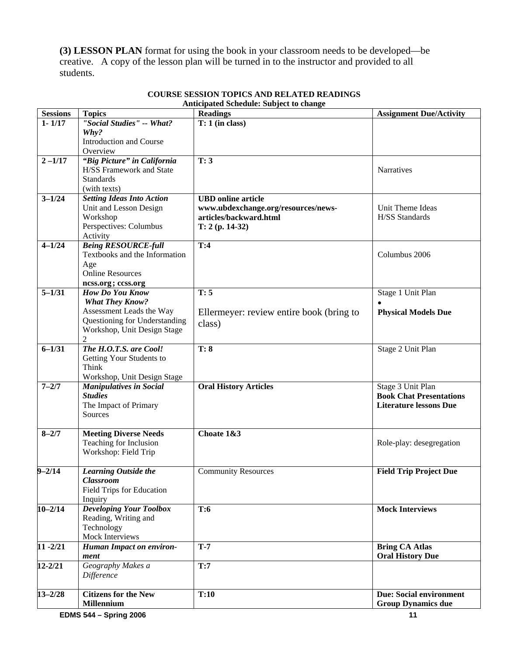**(3) LESSON PLAN** format for using the book in your classroom needs to be developed—be creative. A copy of the lesson plan will be turned in to the instructor and provided to all students.

| <b>Sessions</b>       | <b>Topics</b>                                   | <b>Readings</b>                          | <b>Assignment Due/Activity</b> |
|-----------------------|-------------------------------------------------|------------------------------------------|--------------------------------|
| $1 - 1/17$            | "Social Studies" -- What?                       | $T: 1$ (in class)                        |                                |
|                       | Why?                                            |                                          |                                |
|                       | Introduction and Course                         |                                          |                                |
|                       | Overview                                        |                                          |                                |
| $2 - 1/17$            | "Big Picture" in California                     | T: 3                                     |                                |
|                       | <b>H/SS Framework and State</b>                 |                                          | <b>Narratives</b>              |
|                       | <b>Standards</b>                                |                                          |                                |
|                       | (with texts)                                    |                                          |                                |
| $3 - 1/24$            | <b>Setting Ideas Into Action</b>                | <b>UBD</b> online article                |                                |
|                       | Unit and Lesson Design                          | www.ubdexchange.org/resources/news-      | Unit Theme Ideas               |
|                       | Workshop                                        | articles/backward.html                   | H/SS Standards                 |
|                       | Perspectives: Columbus                          | $T: 2 (p. 14-32)$                        |                                |
|                       | Activity                                        |                                          |                                |
| $4 - 1/24$            | <b>Being RESOURCE-full</b>                      | T:4                                      |                                |
|                       | Textbooks and the Information                   |                                          | Columbus 2006                  |
|                       | Age                                             |                                          |                                |
|                       | <b>Online Resources</b>                         |                                          |                                |
|                       | ncss.org; ccss.org                              |                                          |                                |
| $5 - 1/31$            | How Do You Know                                 | T: 5                                     | Stage 1 Unit Plan              |
|                       | <b>What They Know?</b>                          |                                          |                                |
|                       | Assessment Leads the Way                        | Ellermeyer: review entire book (bring to | <b>Physical Models Due</b>     |
|                       | Questioning for Understanding                   | class)                                   |                                |
|                       | Workshop, Unit Design Stage                     |                                          |                                |
|                       | $\overline{2}$                                  |                                          |                                |
| $6 - 1/31$            | The H.O.T.S. are Cool!                          | $\overline{T:8}$                         | Stage 2 Unit Plan              |
|                       | Getting Your Students to                        |                                          |                                |
|                       | Think                                           |                                          |                                |
|                       | Workshop, Unit Design Stage                     |                                          |                                |
| $7 - 2/7$             | Manipulatives in Social                         | <b>Oral History Articles</b>             | Stage 3 Unit Plan              |
|                       | <b>Studies</b>                                  |                                          | <b>Book Chat Presentations</b> |
|                       | The Impact of Primary                           |                                          | <b>Literature lessons Due</b>  |
|                       | Sources                                         |                                          |                                |
|                       |                                                 |                                          |                                |
| $8 - 2/7$             | <b>Meeting Diverse Needs</b>                    | Choate 1&3                               |                                |
|                       | Teaching for Inclusion                          |                                          | Role-play: desegregation       |
|                       | Workshop: Field Trip                            |                                          |                                |
| $\overline{9} - 2/14$ |                                                 |                                          |                                |
|                       | <b>Learning Outside the</b><br><b>Classroom</b> | <b>Community Resources</b>               | <b>Field Trip Project Due</b>  |
|                       | <b>Field Trips for Education</b>                |                                          |                                |
|                       | Inquiry                                         |                                          |                                |
| $10 - 2/14$           | <b>Developing Your Toolbox</b>                  | T:6                                      | <b>Mock Interviews</b>         |
|                       | Reading, Writing and                            |                                          |                                |
|                       | Technology                                      |                                          |                                |
|                       | Mock Interviews                                 |                                          |                                |
| $11 - 2/21$           | <b>Human Impact on environ-</b>                 | $T-7$                                    | <b>Bring CA Atlas</b>          |
|                       | ment                                            |                                          | <b>Oral History Due</b>        |
| $12 - 2/21$           | Geography Makes a                               | T:7                                      |                                |
|                       | Difference                                      |                                          |                                |
|                       |                                                 |                                          |                                |
| $13 - 2/28$           | <b>Citizens for the New</b>                     | T:10                                     | <b>Due: Social environment</b> |
|                       | <b>Millennium</b>                               |                                          | <b>Group Dynamics due</b>      |
|                       |                                                 |                                          |                                |

#### **COURSE SESSION TOPICS AND RELATED READINGS Anticipated Schedule: Subject to change**

**EDMS 544 – Spring 2006** 11